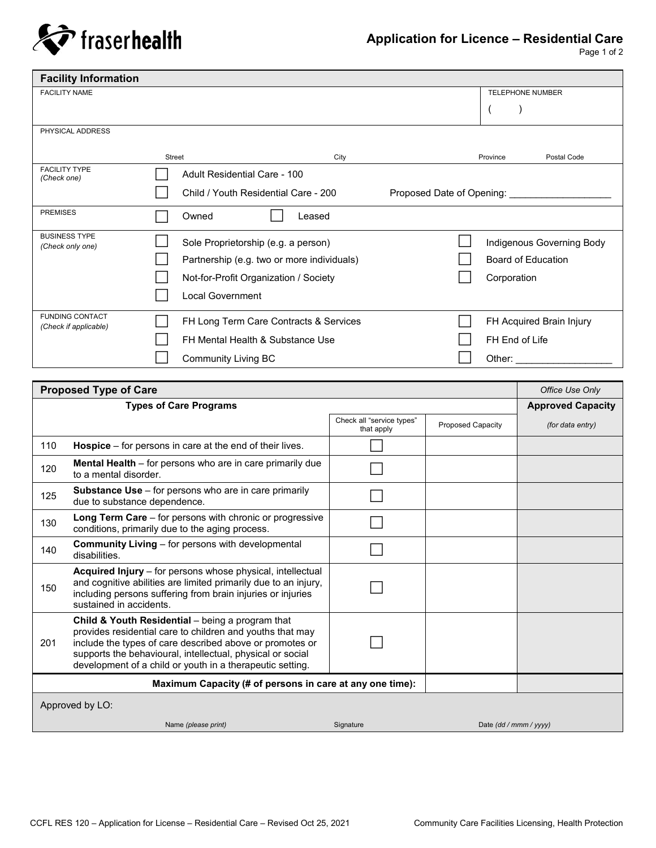

Page 1 of 2

| <b>Facility Information</b>                     |                                     |                                            |                                 |                                                                       |  |  |
|-------------------------------------------------|-------------------------------------|--------------------------------------------|---------------------------------|-----------------------------------------------------------------------|--|--|
| <b>FACILITY NAME</b>                            |                                     |                                            |                                 | <b>TELEPHONE NUMBER</b>                                               |  |  |
|                                                 |                                     |                                            |                                 |                                                                       |  |  |
| PHYSICAL ADDRESS                                |                                     |                                            |                                 |                                                                       |  |  |
|                                                 | <b>Street</b>                       | City                                       |                                 | Postal Code<br>Province                                               |  |  |
| <b>FACILITY TYPE</b><br>(Check one)             | Adult Residential Care - 100        |                                            |                                 |                                                                       |  |  |
|                                                 |                                     | Child / Youth Residential Care - 200       | Proposed Date of Opening: _____ |                                                                       |  |  |
| <b>PREMISES</b>                                 | Owned                               | Leased                                     |                                 |                                                                       |  |  |
| <b>BUSINESS TYPE</b><br>(Check only one)        | Sole Proprietorship (e.g. a person) |                                            |                                 | Indigenous Governing Body<br><b>Board of Education</b><br>Corporation |  |  |
|                                                 |                                     | Partnership (e.g. two or more individuals) |                                 |                                                                       |  |  |
|                                                 |                                     | Not-for-Profit Organization / Society      |                                 |                                                                       |  |  |
|                                                 | Local Government                    |                                            |                                 |                                                                       |  |  |
| <b>FUNDING CONTACT</b><br>(Check if applicable) |                                     | FH Long Term Care Contracts & Services     |                                 | FH Acquired Brain Injury                                              |  |  |
|                                                 |                                     | FH Mental Health & Substance Use           |                                 | FH End of Life                                                        |  |  |
|                                                 | <b>Community Living BC</b>          |                                            |                                 | Other: $\_\_$                                                         |  |  |

| <b>Proposed Type of Care</b> | Office Use Only                                                                                                                                                                                                                                                                                      |                                         |                          |                  |  |  |  |
|------------------------------|------------------------------------------------------------------------------------------------------------------------------------------------------------------------------------------------------------------------------------------------------------------------------------------------------|-----------------------------------------|--------------------------|------------------|--|--|--|
|                              | <b>Approved Capacity</b>                                                                                                                                                                                                                                                                             |                                         |                          |                  |  |  |  |
|                              |                                                                                                                                                                                                                                                                                                      | Check all "service types"<br>that apply | <b>Proposed Capacity</b> | (for data entry) |  |  |  |
| 110                          | <b>Hospice</b> $-$ for persons in care at the end of their lives.                                                                                                                                                                                                                                    |                                         |                          |                  |  |  |  |
| 120                          | <b>Mental Health</b> – for persons who are in care primarily due<br>to a mental disorder.                                                                                                                                                                                                            |                                         |                          |                  |  |  |  |
| 125                          | <b>Substance Use</b> – for persons who are in care primarily<br>due to substance dependence.                                                                                                                                                                                                         |                                         |                          |                  |  |  |  |
| 130                          | <b>Long Term Care</b> $-$ for persons with chronic or progressive<br>conditions, primarily due to the aging process.                                                                                                                                                                                 |                                         |                          |                  |  |  |  |
| 140                          | <b>Community Living - for persons with developmental</b><br>disabilities.                                                                                                                                                                                                                            |                                         |                          |                  |  |  |  |
| 150                          | Acquired Injury – for persons whose physical, intellectual<br>and cognitive abilities are limited primarily due to an injury,<br>including persons suffering from brain injuries or injuries<br>sustained in accidents.                                                                              |                                         |                          |                  |  |  |  |
| 201                          | Child & Youth Residential - being a program that<br>provides residential care to children and youths that may<br>include the types of care described above or promotes or<br>supports the behavioural, intellectual, physical or social<br>development of a child or youth in a therapeutic setting. |                                         |                          |                  |  |  |  |
|                              |                                                                                                                                                                                                                                                                                                      |                                         |                          |                  |  |  |  |
| Approved by LO:              |                                                                                                                                                                                                                                                                                                      |                                         |                          |                  |  |  |  |
|                              | Name (please print)                                                                                                                                                                                                                                                                                  | Signature                               | Date (dd / mmm / yyyy)   |                  |  |  |  |
|                              |                                                                                                                                                                                                                                                                                                      |                                         |                          |                  |  |  |  |